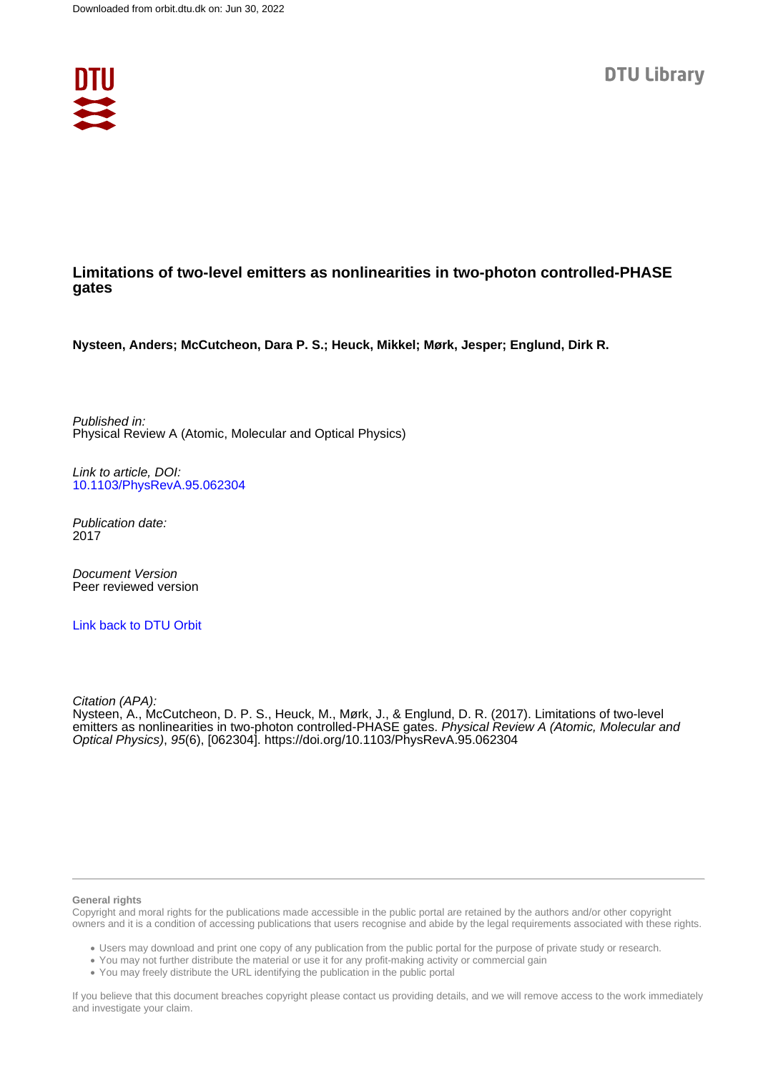

# **Limitations of two-level emitters as nonlinearities in two-photon controlled-PHASE gates**

**Nysteen, Anders; McCutcheon, Dara P. S.; Heuck, Mikkel; Mørk, Jesper; Englund, Dirk R.**

Published in: Physical Review A (Atomic, Molecular and Optical Physics)

Link to article, DOI: [10.1103/PhysRevA.95.062304](https://doi.org/10.1103/PhysRevA.95.062304)

Publication date: 2017

Document Version Peer reviewed version

[Link back to DTU Orbit](https://orbit.dtu.dk/en/publications/feb48fc1-fc16-4690-adf4-31e801e80ea9)

Citation (APA):

Nysteen, A., McCutcheon, D. P. S., Heuck, M., Mørk, J., & Englund, D. R. (2017). Limitations of two-level emitters as nonlinearities in two-photon controlled-PHASE gates. Physical Review A (Atomic, Molecular and Optical Physics), 95(6), [062304]. <https://doi.org/10.1103/PhysRevA.95.062304>

#### **General rights**

Copyright and moral rights for the publications made accessible in the public portal are retained by the authors and/or other copyright owners and it is a condition of accessing publications that users recognise and abide by the legal requirements associated with these rights.

Users may download and print one copy of any publication from the public portal for the purpose of private study or research.

- You may not further distribute the material or use it for any profit-making activity or commercial gain
- You may freely distribute the URL identifying the publication in the public portal

If you believe that this document breaches copyright please contact us providing details, and we will remove access to the work immediately and investigate your claim.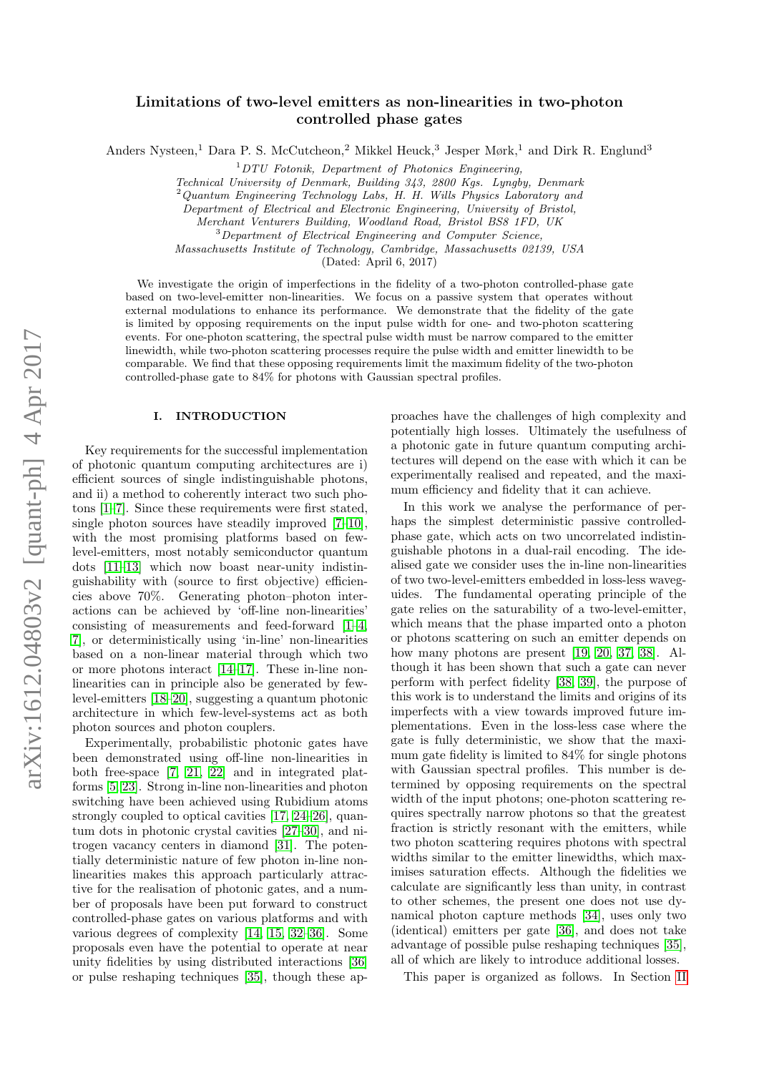## Limitations of two-level emitters as non-linearities in two-photon controlled phase gates

Anders Nysteen,<sup>1</sup> Dara P. S. McCutcheon,<sup>2</sup> Mikkel Heuck,<sup>3</sup> Jesper Mørk,<sup>1</sup> and Dirk R. Englund<sup>3</sup>

 $1 D T U$  Fotonik, Department of Photonics Engineering,

Technical University of Denmark, Building 343, 2800 Kgs. Lyngby, Denmark

 $2^2$ Quantum Engineering Technology Labs, H. H. Wills Physics Laboratory and

Department of Electrical and Electronic Engineering, University of Bristol,

Merchant Venturers Building, Woodland Road, Bristol BS8 1FD, UK

<sup>3</sup>Department of Electrical Engineering and Computer Science,

Massachusetts Institute of Technology, Cambridge, Massachusetts 02139, USA

(Dated: April 6, 2017)

We investigate the origin of imperfections in the fidelity of a two-photon controlled-phase gate based on two-level-emitter non-linearities. We focus on a passive system that operates without external modulations to enhance its performance. We demonstrate that the fidelity of the gate is limited by opposing requirements on the input pulse width for one- and two-photon scattering events. For one-photon scattering, the spectral pulse width must be narrow compared to the emitter linewidth, while two-photon scattering processes require the pulse width and emitter linewidth to be comparable. We find that these opposing requirements limit the maximum fidelity of the two-photon controlled-phase gate to 84% for photons with Gaussian spectral profiles.

## I. INTRODUCTION

Key requirements for the successful implementation of photonic quantum computing architectures are i) efficient sources of single indistinguishable photons, and ii) a method to coherently interact two such photons [\[1–](#page-6-0)[7\]](#page-6-1). Since these requirements were first stated, single photon sources have steadily improved [\[7–](#page-6-1)[10\]](#page-6-2), with the most promising platforms based on fewlevel-emitters, most notably semiconductor quantum dots [\[11–](#page-6-3)[13\]](#page-7-0) which now boast near-unity indistinguishability with (source to first objective) efficiencies above 70%. Generating photon–photon interactions can be achieved by 'off-line non-linearities' consisting of measurements and feed-forward [\[1–](#page-6-0)[4,](#page-6-4) [7\]](#page-6-1), or deterministically using 'in-line' non-linearities based on a non-linear material through which two or more photons interact [\[14–](#page-7-1)[17\]](#page-7-2). These in-line nonlinearities can in principle also be generated by fewlevel-emitters [\[18](#page-7-3)[–20\]](#page-7-4), suggesting a quantum photonic architecture in which few-level-systems act as both photon sources and photon couplers.

Experimentally, probabilistic photonic gates have been demonstrated using off-line non-linearities in both free-space [\[7,](#page-6-1) [21,](#page-7-5) [22\]](#page-7-6) and in integrated platforms [\[5,](#page-6-5) [23\]](#page-7-7). Strong in-line non-linearities and photon switching have been achieved using Rubidium atoms strongly coupled to optical cavities [\[17,](#page-7-2) [24](#page-7-8)[–26\]](#page-7-9), quantum dots in photonic crystal cavities [\[27–](#page-7-10)[30\]](#page-7-11), and nitrogen vacancy centers in diamond [\[31\]](#page-7-12). The potentially deterministic nature of few photon in-line nonlinearities makes this approach particularly attractive for the realisation of photonic gates, and a number of proposals have been put forward to construct controlled-phase gates on various platforms and with various degrees of complexity [\[14,](#page-7-1) [15,](#page-7-13) [32–](#page-7-14)[36\]](#page-7-15). Some proposals even have the potential to operate at near unity fidelities by using distributed interactions [\[36\]](#page-7-15) or pulse reshaping techniques [\[35\]](#page-7-16), though these approaches have the challenges of high complexity and potentially high losses. Ultimately the usefulness of a photonic gate in future quantum computing architectures will depend on the ease with which it can be experimentally realised and repeated, and the maximum efficiency and fidelity that it can achieve.

In this work we analyse the performance of perhaps the simplest deterministic passive controlledphase gate, which acts on two uncorrelated indistinguishable photons in a dual-rail encoding. The idealised gate we consider uses the in-line non-linearities of two two-level-emitters embedded in loss-less waveguides. The fundamental operating principle of the gate relies on the saturability of a two-level-emitter, which means that the phase imparted onto a photon or photons scattering on such an emitter depends on how many photons are present [\[19,](#page-7-17) [20,](#page-7-4) [37,](#page-7-18) [38\]](#page-7-19). Although it has been shown that such a gate can never perform with perfect fidelity [\[38,](#page-7-19) [39\]](#page-7-20), the purpose of this work is to understand the limits and origins of its imperfects with a view towards improved future implementations. Even in the loss-less case where the gate is fully deterministic, we show that the maximum gate fidelity is limited to 84% for single photons with Gaussian spectral profiles. This number is determined by opposing requirements on the spectral width of the input photons; one-photon scattering requires spectrally narrow photons so that the greatest fraction is strictly resonant with the emitters, while two photon scattering requires photons with spectral widths similar to the emitter linewidths, which maximises saturation effects. Although the fidelities we calculate are significantly less than unity, in contrast to other schemes, the present one does not use dynamical photon capture methods [\[34\]](#page-7-21), uses only two (identical) emitters per gate [\[36\]](#page-7-15), and does not take advantage of possible pulse reshaping techniques [\[35\]](#page-7-16), all of which are likely to introduce additional losses.

This paper is organized as follows. In Section [II](#page-2-0)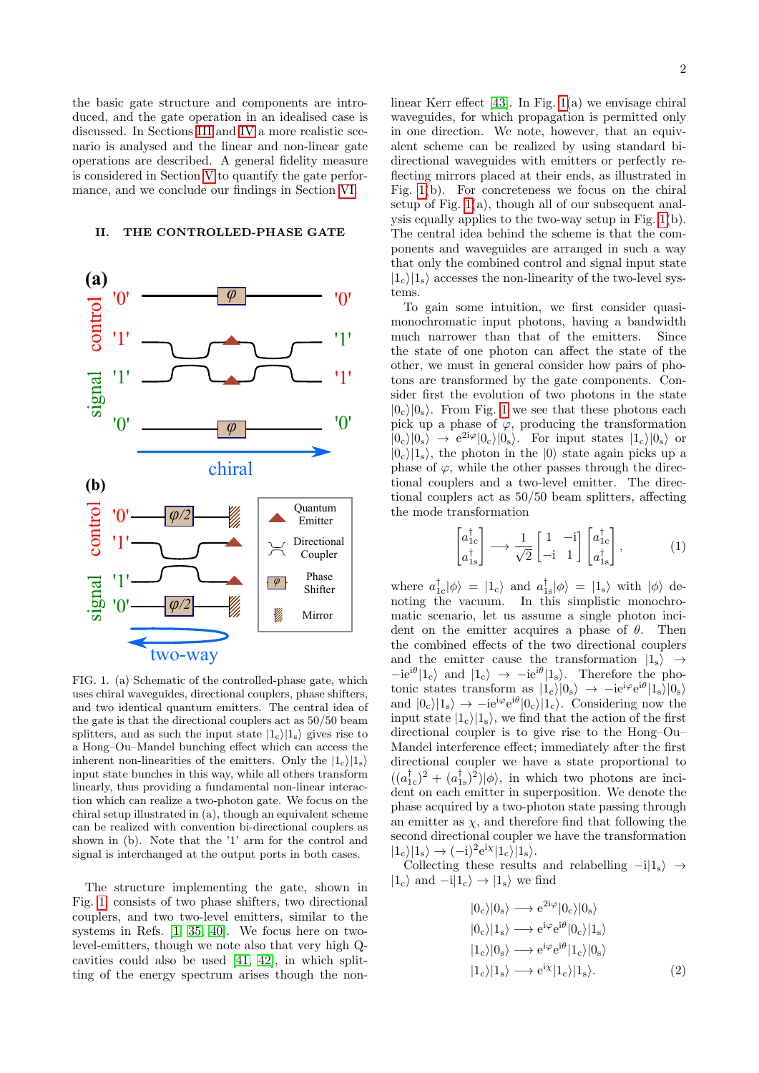the basic gate structure and components are intro-<br>duced, and the gate operation in an idealised case is<br>discussed. In Sections III and IV a more realistic sce-<br>next is an almost explicitly in an image of the structure duced, and the gate operation in an idealised case is discussed. In Sections [III](#page-3-0) and [IV](#page-4-0) a more realistic scenario is analysed and the linear and non-linear gate operations are described. A general fidelity measure is considered in Section [V](#page-5-0) to quantify the gate performance, and we conclude our findings in Section VI. mance, and we conclude our findings in Section [VI.](#page-6-6)

## <span id="page-2-0"></span>II. THE CONTROLLED-PHASE GATE  $\frac{1}{2}$



<span id="page-2-1"></span>can be realized with convention bi-directional couplers as<br>shown in (b). Note that the '1' arm for the control and uses chiral waveguides, directional couplers, phase siniters,<br>and two identical quantum emitters. The central idea of control'0' splitters, and as such the input state  $|1_c\rangle|1_s\rangle$  gives rise to<br>a Hong–Ou–Mandel bunching effect which can access the can be realized with convention bi-directional couplers as<br>shown in (b). Note that the '1' arm for the control and linearly, thus providing a fundamental non-linear interac-FIG. 1. (a) Schematic of the controlled-phase gate, which 1plers inherent non-linearities of the emitters. Only the  $|1_c\rangle|1_s\rangle$ hema<br>eguid<br>cal q splitters, and as such the input state  $|1_c\rangle|1_s\rangle$  gives rise to uses chiral waveguides, directional couplers, phase shifters, the gate is that the directional couplers act as 50/50 beam input state bunches in this way, while all others transform tion which can realize a two-photon gate. We focus on the chiral setup illustrated in (a), though an equivalent scheme signal is interchanged at the output ports in both cases.

The structure implementing the gate, shown in Fig. [1,](#page-2-1) consists of two phase shifters, two directional couplers, and two two-level emitters, similar to the systems in Refs. [\[1,](#page-6-0) [35,](#page-7-16) [40\]](#page-7-22). We focus here on twolevel-emitters, though we note also that very high Qcavities could also be used [\[41,](#page-7-23) [42\]](#page-7-24), in which splitting of the energy spectrum arises though the non-

linear Kerr effect [\[43\]](#page-7-25). In Fig. [1\(](#page-2-1)a) we envisage chiral waveguides, for which propagation is permitted only in one direction. We note, however, that an equivalent scheme can be realized by using standard bidirectional waveguides with emitters or perfectly reflecting mirrors placed at their ends, as illustrated in Fig. [1\(](#page-2-1)b). For concreteness we focus on the chiral setup of Fig. [1\(](#page-2-1)a), though all of our subsequent analysis equally applies to the two-way setup in Fig. [1\(](#page-2-1)b). The central idea behind the scheme is that the components and waveguides are arranged in such a way that only the combined control and signal input state  $|1_c\rangle|1_s\rangle$  accesses the non-linearity of the two-level systems.

To gain some intuition, we first consider quasimonochromatic input photons, having a bandwidth much narrower than that of the emitters. Since the state of one photon can affect the state of the other, we must in general consider how pairs of photons are transformed by the gate components. Consider first the evolution of two photons in the state  $|0_c\rangle|0_s\rangle$ . From Fig. [1](#page-2-1) we see that these photons each pick up a phase of  $\varphi$ , producing the transformation  $|0_c\rangle|0_s\rangle \rightarrow e^{2i\varphi}|0_c\rangle|0_s\rangle$ . For input states  $|1_c\rangle|0_s\rangle$  or  $|0_c\rangle|1_s\rangle$ , the photon in the  $|0\rangle$  state again picks up a phase of  $\varphi$ , while the other passes through the directional couplers and a two-level emitter. The directional couplers act as 50/50 beam splitters, affecting the mode transformation

<span id="page-2-3"></span>
$$
\begin{bmatrix} a_{1c}^{\dagger} \\ a_{1s}^{\dagger} \end{bmatrix} \longrightarrow \frac{1}{\sqrt{2}} \begin{bmatrix} 1 & -i \\ -i & 1 \end{bmatrix} \begin{bmatrix} a_{1c}^{\dagger} \\ a_{1s}^{\dagger} \end{bmatrix},
$$
 (1)

where  $a_{1c}^{\dagger}|\phi\rangle = |1_c\rangle$  and  $a_{1s}^{\dagger}|\phi\rangle = |1_s\rangle$  with  $|\phi\rangle$  denoting the vacuum. In this simplistic monochromatic scenario, let us assume a single photon incident on the emitter acquires a phase of  $\theta$ . Then the combined effects of the two directional couplers and the emitter cause the transformation  $|1_s\rangle \rightarrow$  $-ie^{i\theta} |1_c\rangle$  and  $|1_c\rangle \rightarrow -ie^{i\theta} |1_s\rangle$ . Therefore the photonic states transform as  $|1_c\rangle|0_s\rangle \rightarrow -ie^{i\varphi}e^{i\theta}|1_s\rangle|0_s\rangle$ and  $|0_c\rangle|1_s\rangle \rightarrow -ie^{i\varphi}e^{i\theta}|0_c\rangle|1_c\rangle$ . Considering now the input state  $|1_c\rangle|1_s\rangle$ , we find that the action of the first directional coupler is to give rise to the Hong–Ou– Mandel interference effect; immediately after the first directional coupler we have a state proportional to  $((a_{1c}^{\dagger})^2 + (a_{1s}^{\dagger})^2)|\phi\rangle$ , in which two photons are incident on each emitter in superposition. We denote the phase acquired by a two-photon state passing through an emitter as  $\chi$ , and therefore find that following the second directional coupler we have the transformation  $|1_c\rangle|1_s\rangle \rightarrow (-i)^2 e^{i\chi}|1_c\rangle|1_s\rangle.$ 

Collecting these results and relabelling  $-i|1_{s}\rangle \rightarrow$  $|1_c\rangle$  and  $-i|1_c\rangle \rightarrow |1_s\rangle$  we find

<span id="page-2-2"></span>
$$
|0_{c}\rangle|0_{s}\rangle \longrightarrow e^{2i\varphi}|0_{c}\rangle|0_{s}\rangle
$$
  
\n
$$
|0_{c}\rangle|1_{s}\rangle \longrightarrow e^{i\varphi}e^{i\theta}|0_{c}\rangle|1_{s}\rangle
$$
  
\n
$$
|1_{c}\rangle|0_{s}\rangle \longrightarrow e^{i\varphi}e^{i\theta}|1_{c}\rangle|0_{s}\rangle
$$
  
\n
$$
|1_{c}\rangle|1_{s}\rangle \longrightarrow e^{i\chi}|1_{c}\rangle|1_{s}\rangle.
$$
 (2)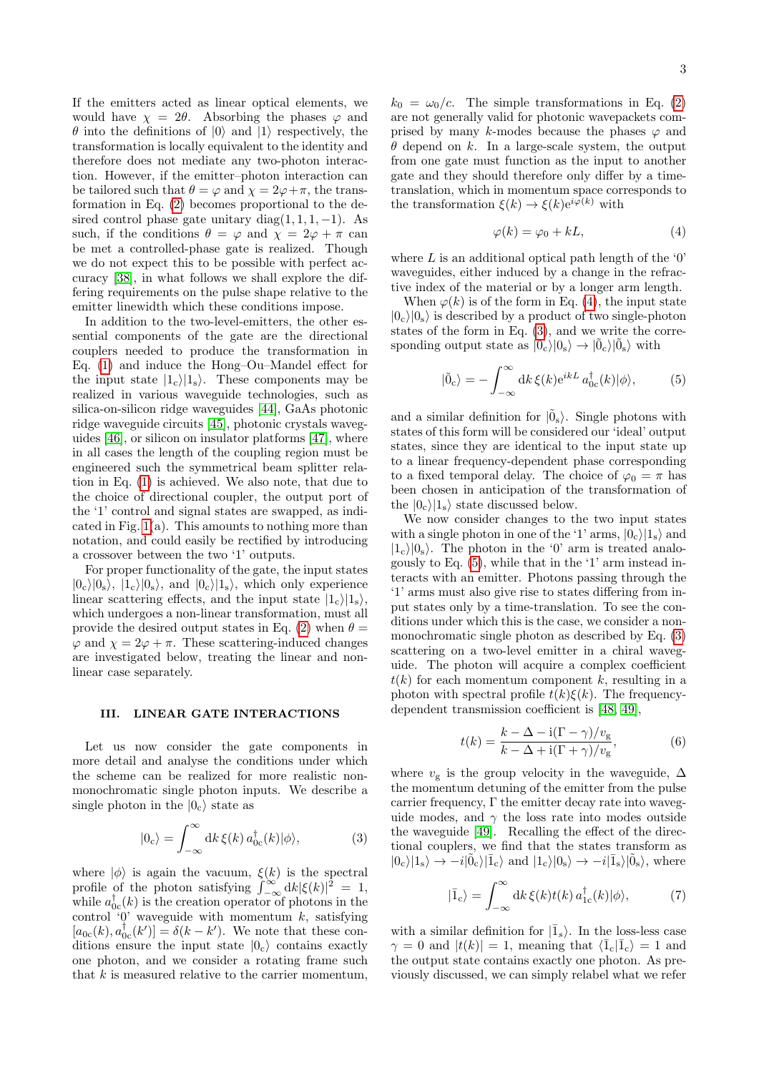If the emitters acted as linear optical elements, we would have  $\chi = 2\theta$ . Absorbing the phases  $\varphi$  and  $\theta$  into the definitions of  $|0\rangle$  and  $|1\rangle$  respectively, the transformation is locally equivalent to the identity and therefore does not mediate any two-photon interaction. However, if the emitter–photon interaction can be tailored such that  $\theta = \varphi$  and  $\chi = 2\varphi + \pi$ , the transformation in Eq. [\(2\)](#page-2-2) becomes proportional to the desired control phase gate unitary diag $(1, 1, 1, -1)$ . As such, if the conditions  $\theta = \varphi$  and  $\chi = 2\varphi + \pi$  can be met a controlled-phase gate is realized. Though we do not expect this to be possible with perfect accuracy [\[38\]](#page-7-19), in what follows we shall explore the differing requirements on the pulse shape relative to the emitter linewidth which these conditions impose.

In addition to the two-level-emitters, the other essential components of the gate are the directional couplers needed to produce the transformation in Eq. [\(1\)](#page-2-3) and induce the Hong–Ou–Mandel effect for the input state  $|1_c\rangle|1_s\rangle$ . These components may be realized in various waveguide technologies, such as silica-on-silicon ridge waveguides [\[44\]](#page-7-26), GaAs photonic ridge waveguide circuits [\[45\]](#page-7-27), photonic crystals waveguides [\[46\]](#page-7-28), or silicon on insulator platforms [\[47\]](#page-7-29), where in all cases the length of the coupling region must be engineered such the symmetrical beam splitter relation in Eq. [\(1\)](#page-2-3) is achieved. We also note, that due to the choice of directional coupler, the output port of the '1' control and signal states are swapped, as indicated in Fig. [1\(](#page-2-1)a). This amounts to nothing more than notation, and could easily be rectified by introducing a crossover between the two '1' outputs.

For proper functionality of the gate, the input states  $|0_c\rangle|0_s\rangle$ ,  $|1_c\rangle|0_s\rangle$ , and  $|0_c\rangle|1_s\rangle$ , which only experience linear scattering effects, and the input state  $|1_c\rangle|1_s\rangle$ , which undergoes a non-linear transformation, must all provide the desired output states in Eq. [\(2\)](#page-2-2) when  $\theta =$  $\varphi$  and  $\chi = 2\varphi + \pi$ . These scattering-induced changes are investigated below, treating the linear and nonlinear case separately.

#### <span id="page-3-0"></span>III. LINEAR GATE INTERACTIONS

Let us now consider the gate components in more detail and analyse the conditions under which the scheme can be realized for more realistic nonmonochromatic single photon inputs. We describe a single photon in the  $|0_c\rangle$  state as

<span id="page-3-2"></span>
$$
|0_c\rangle = \int_{-\infty}^{\infty} dk \, \xi(k) \, a_{0c}^{\dagger}(k) |\phi\rangle, \tag{3}
$$

where  $|\phi\rangle$  is again the vacuum,  $\xi(k)$  is the spectral profile of the photon satisfying  $\int_{-\infty}^{\infty} dk |\xi(k)|^2 = 1$ , while  $a_{0c}^{\dagger}(k)$  is the creation operator of photons in the control  $\ddot{0}$  waveguide with momentum k, satisfying  $[a_{0c}(k), a_{0c}^{\dagger}(k')] = \delta(k-k')$ . We note that these conditions ensure the input state  $|0_c\rangle$  contains exactly one photon, and we consider a rotating frame such that  $k$  is measured relative to the carrier momentum,

 $k_0 = \omega_0/c$ . The simple transformations in Eq. [\(2\)](#page-2-2) are not generally valid for photonic wavepackets comprised by many k-modes because the phases  $\varphi$  and  $\theta$  depend on k. In a large-scale system, the output from one gate must function as the input to another gate and they should therefore only differ by a timetranslation, which in momentum space corresponds to the transformation  $\xi(k) \to \xi(k)e^{i\varphi(k)}$  with

<span id="page-3-1"></span>
$$
\varphi(k) = \varphi_0 + kL,\tag{4}
$$

where  $L$  is an additional optical path length of the '0' waveguides, either induced by a change in the refractive index of the material or by a longer arm length.

When  $\varphi(k)$  is of the form in Eq. [\(4\)](#page-3-1), the input state  $|0_c\rangle|0_s\rangle$  is described by a product of two single-photon states of the form in Eq. [\(3\)](#page-3-2), and we write the corresponding output state as  $|0_c\rangle|0_s\rangle \rightarrow |\tilde{0}_c\rangle|\tilde{0}_s\rangle$  with

<span id="page-3-3"></span>
$$
|\tilde{0}_{c}\rangle = -\int_{-\infty}^{\infty} dk \,\xi(k)e^{ikL} a_{0c}^{\dagger}(k)|\phi\rangle, \tag{5}
$$

and a similar definition for  $|\tilde{0}_s\rangle$ . Single photons with states of this form will be considered our 'ideal' output states, since they are identical to the input state up to a linear frequency-dependent phase corresponding to a fixed temporal delay. The choice of  $\varphi_0 = \pi$  has been chosen in anticipation of the transformation of the  $|0_c\rangle|1_s\rangle$  state discussed below.

We now consider changes to the two input states with a single photon in one of the '1' arms,  $|0_c\rangle|1_s\rangle$  and  $|1_c\rangle|0_s\rangle$ . The photon in the '0' arm is treated analogously to Eq. [\(5\)](#page-3-3), while that in the '1' arm instead interacts with an emitter. Photons passing through the '1' arms must also give rise to states differing from input states only by a time-translation. To see the conditions under which this is the case, we consider a nonmonochromatic single photon as described by Eq. [\(3\)](#page-3-2) scattering on a two-level emitter in a chiral waveguide. The photon will acquire a complex coefficient  $t(k)$  for each momentum component k, resulting in a photon with spectral profile  $t(k)\xi(k)$ . The frequencydependent transmission coefficient is [\[48,](#page-7-30) [49\]](#page-7-31),

$$
t(k) = \frac{k - \Delta - i(\Gamma - \gamma)/v_{\rm g}}{k - \Delta + i(\Gamma + \gamma)/v_{\rm g}},\tag{6}
$$

where  $v_{\rm g}$  is the group velocity in the waveguide,  $\Delta$ the momentum detuning of the emitter from the pulse carrier frequency,  $\Gamma$  the emitter decay rate into waveguide modes, and  $\gamma$  the loss rate into modes outside the waveguide [\[49\]](#page-7-31). Recalling the effect of the directional couplers, we find that the states transform as  $|0_c\rangle|1_s\rangle \rightarrow -i|\tilde{0}_c\rangle|\bar{1}_c\rangle$  and  $|1_c\rangle|0_s\rangle \rightarrow -i|\bar{1}_s\rangle|\tilde{0}_s\rangle$ , where

$$
|\bar{1}_{c}\rangle = \int_{-\infty}^{\infty} dk \,\xi(k)t(k) \, a_{1c}^{\dagger}(k)|\phi\rangle, \tag{7}
$$

with a similar definition for  $|\bar{1}_s\rangle$ . In the loss-less case  $\gamma = 0$  and  $|t(k)| = 1$ , meaning that  $\langle \overline{1}_c | \overline{1}_c \rangle = 1$  and the output state contains exactly one photon. As previously discussed, we can simply relabel what we refer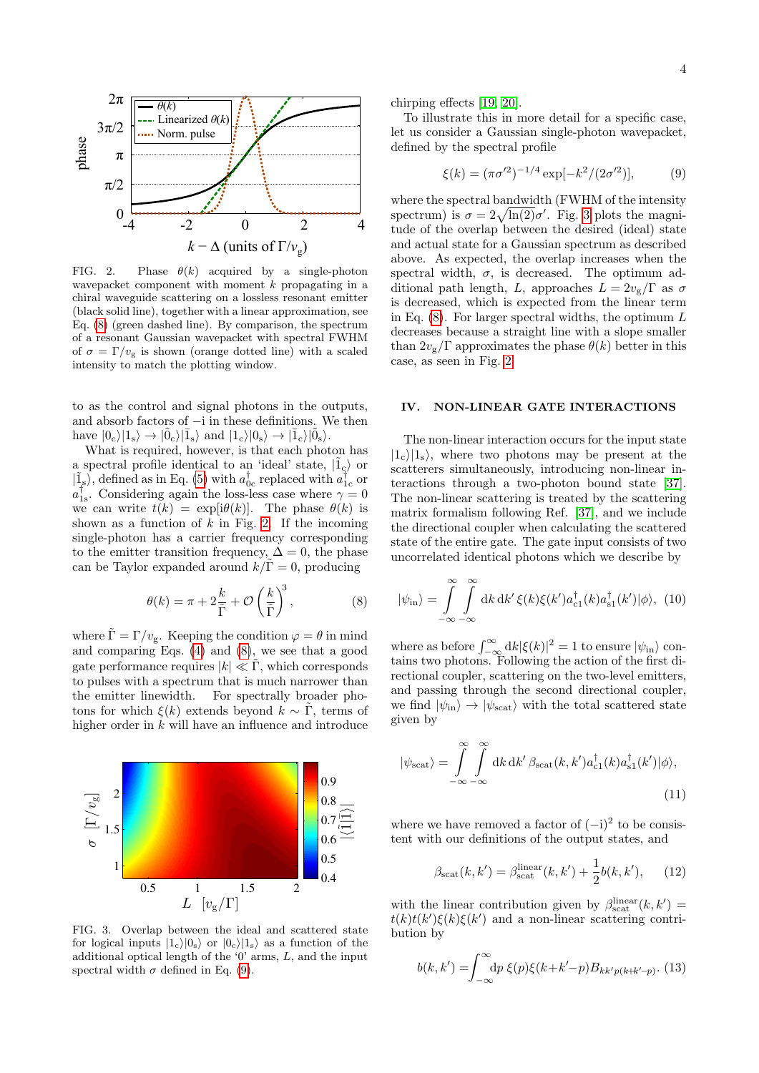

<span id="page-4-2"></span>FIG. 2. Phase  $\theta(k)$  acquired by a single-photon wavepacket component with moment  $k$  propagating in a chiral waveguide scattering on a lossless resonant emitter (black solid line), together with a linear approximation, see Eq. [\(8\)](#page-4-1) (green dashed line). By comparison, the spectrum of a resonant Gaussian wavepacket with spectral FWHM of  $\sigma = \Gamma/v_{\rm g}$  is shown (orange dotted line) with a scaled intensity to match the plotting window.

to as the control and signal photons in the outputs, and absorb factors of −i in these definitions. We then have  $|0_c\rangle|1_s\rangle \rightarrow |0_c\rangle|\overline{1}_s\rangle$  and  $|1_c\rangle|0_s\rangle \rightarrow |\overline{1}_c\rangle|0_s\rangle$ .

What is required, however, is that each photon has a spectral profile identical to an 'ideal' state,  $|\tilde{1}_{c}\rangle$  or  $|\tilde{1}_{\rm s}\rangle$ , defined as in Eq. [\(5\)](#page-3-3) with  $a_{0\rm c}^{\dagger}$  replaced with  $a_{1\rm c}^{\dagger}$  or  $a_{1s}^{\dagger}$ . Considering again the loss-less case where  $\gamma = 0$ we can write  $t(k) = \exp[i\theta(k)]$ . The phase  $\theta(k)$  is shown as a function of  $k$  in Fig. [2.](#page-4-2) If the incoming single-photon has a carrier frequency corresponding to the emitter transition frequency,  $\Delta = 0$ , the phase can be Taylor expanded around  $k/\tilde{\Gamma} = 0$ , producing

<span id="page-4-1"></span>
$$
\theta(k) = \pi + 2\frac{k}{\tilde{\Gamma}} + \mathcal{O}\left(\frac{k}{\tilde{\Gamma}}\right)^3, \tag{8}
$$

where  $\tilde{\Gamma} = \Gamma / v_{\rm g}$ . Keeping the condition  $\varphi = \theta$  in mind and comparing Eqs. [\(4\)](#page-3-1) and [\(8\)](#page-4-1), we see that a good gate performance requires  $|k| \ll \tilde{\Gamma}$ , which corresponds to pulses with a spectrum that is much narrower than the emitter linewidth. For spectrally broader photons for which  $\xi(k)$  extends beyond  $k \sim \tilde{\Gamma}$ , terms of higher order in k will have an influence and introduce



<span id="page-4-4"></span>FIG. 3. Overlap between the ideal and scattered state for logical inputs  $|1_c\rangle|0_s\rangle$  or  $|0_c\rangle|1_s\rangle$  as a function of the additional optical length of the  $0'$  arms,  $L$ , and the input spectral width  $\sigma$  defined in Eq. [\(9\)](#page-4-3).

chirping effects [\[19,](#page-7-17) [20\]](#page-7-4).

To illustrate this in more detail for a specific case, let us consider a Gaussian single-photon wavepacket, defined by the spectral profile

<span id="page-4-3"></span>
$$
\xi(k) = (\pi \sigma^2)^{-1/4} \exp[-k^2/(2\sigma^2)],\tag{9}
$$

where the spectral bandwidth (FWHM of the intensity spectrum) is  $\sigma = 2\sqrt{\ln(2)}\sigma'$ . Fig. [3](#page-4-4) plots the magnitude of the overlap between the desired (ideal) state and actual state for a Gaussian spectrum as described above. As expected, the overlap increases when the spectral width,  $\sigma$ , is decreased. The optimum additional path length, L, approaches  $L = 2v_{\rm g}/\Gamma$  as  $\sigma$ is decreased, which is expected from the linear term in Eq.  $(8)$ . For larger spectral widths, the optimum L decreases because a straight line with a slope smaller than  $2v_{\rm g}/\Gamma$  approximates the phase  $\theta(k)$  better in this case, as seen in Fig. [2.](#page-4-2)

#### <span id="page-4-0"></span>IV. NON-LINEAR GATE INTERACTIONS

The non-linear interaction occurs for the input state  $|1_c\rangle|1_s\rangle$ , where two photons may be present at the scatterers simultaneously, introducing non-linear interactions through a two-photon bound state [\[37\]](#page-7-18). The non-linear scattering is treated by the scattering matrix formalism following Ref. [\[37\]](#page-7-18), and we include the directional coupler when calculating the scattered state of the entire gate. The gate input consists of two uncorrelated identical photons which we describe by

$$
|\psi_{\rm in}\rangle = \int_{-\infty}^{\infty} \int_{-\infty}^{\infty} dk \, dk' \xi(k) \xi(k') a_{\rm c1}^{\dagger}(k) a_{\rm s1}^{\dagger}(k') |\phi\rangle, \tag{10}
$$

where as before  $\int_{-\infty}^{\infty} dk |\xi(k)|^2 = 1$  to ensure  $|\psi_{\rm in}\rangle$  contains two photons. Following the action of the first directional coupler, scattering on the two-level emitters, and passing through the second directional coupler, we find  $|\psi_{\text{in}}\rangle \rightarrow |\psi_{\text{scat}}\rangle$  with the total scattered state given by

$$
|\psi_{\text{scat}}\rangle = \int_{-\infty}^{\infty} \int_{-\infty}^{\infty} dk \, dk' \, \beta_{\text{scat}}(k, k') a_{\text{c1}}^{\dagger}(k) a_{\text{s1}}^{\dagger}(k') |\phi\rangle,\tag{11}
$$

where we have removed a factor of  $(-i)^2$  to be consistent with our definitions of the output states, and

<span id="page-4-5"></span>
$$
\beta_{\text{scat}}(k, k') = \beta_{\text{scat}}^{\text{linear}}(k, k') + \frac{1}{2}b(k, k'), \qquad (12)
$$

with the linear contribution given by  $\beta_{\text{scat}}^{\text{linear}}(k, k') =$  $t(k)t(k')\xi(k')$  and a non-linear scattering contribution by

$$
b(k, k') = \int_{-\infty}^{\infty} dp \, \xi(p) \xi(k + k' - p) B_{kk'p(k + k' - p)}.
$$
 (13)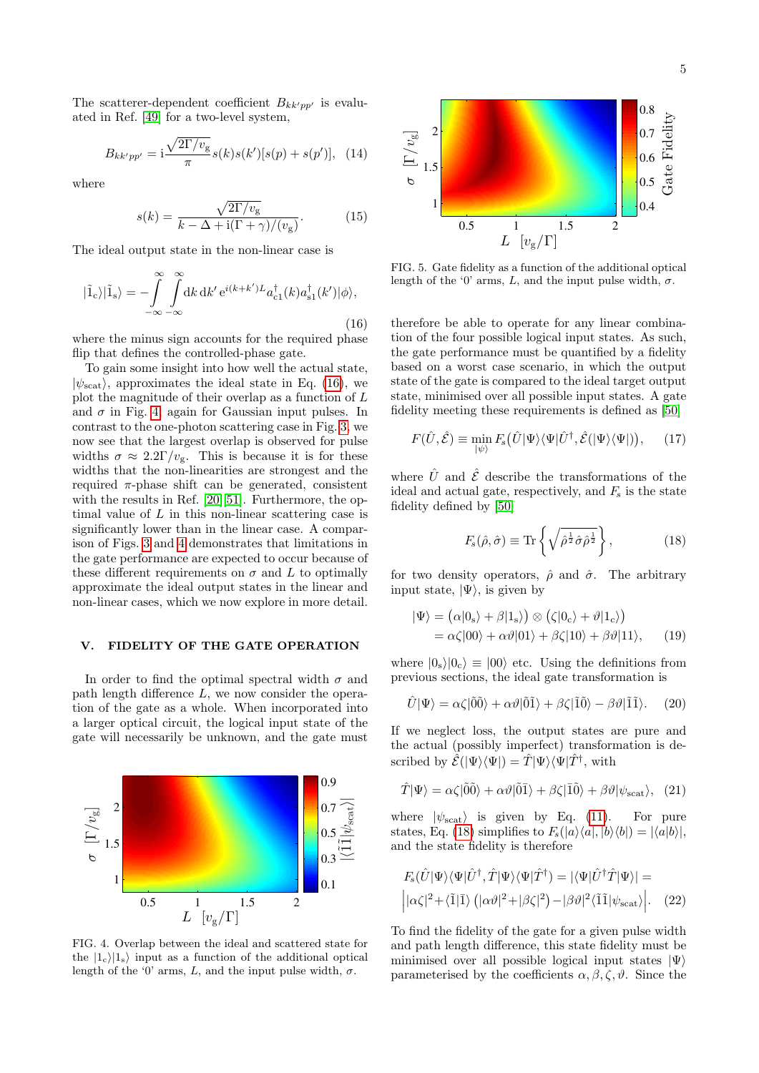The scatterer-dependent coefficient  $B_{kk'pp'}$  is evaluated in Ref. [\[49\]](#page-7-31) for a two-level system,

$$
B_{kk'pp'} = i\frac{\sqrt{2\Gamma/v_{\rm g}}}{\pi} s(k)s(k')[s(p) + s(p')], \quad (14)
$$

where

$$
s(k) = \frac{\sqrt{2\Gamma/v_{\rm g}}}{k - \Delta + i(\Gamma + \gamma)/(v_{\rm g})}.\tag{15}
$$

The ideal output state in the non-linear case is

<span id="page-5-1"></span>
$$
|\tilde{1}_{c}\rangle|\tilde{1}_{s}\rangle = -\int_{-\infty}^{\infty} \int_{-\infty}^{\infty} dk \, dk' e^{i(k+k')L} a_{c1}^{\dagger}(k) a_{s1}^{\dagger}(k') |\phi\rangle,
$$
\n(16)

where the minus sign accounts for the required phase flip that defines the controlled-phase gate.

To gain some insight into how well the actual state,  $|\psi_{scat}\rangle$ , approximates the ideal state in Eq. [\(16\)](#page-5-1), we plot the magnitude of their overlap as a function of L and  $\sigma$  in Fig. [4,](#page-5-2) again for Gaussian input pulses. In contrast to the one-photon scattering case in Fig. [3,](#page-4-4) we now see that the largest overlap is observed for pulse widths  $\sigma \approx 2.2\Gamma/v_{\rm g}$ . This is because it is for these widths that the non-linearities are strongest and the required  $\pi$ -phase shift can be generated, consistent with the results in Ref. [\[20\]](#page-7-4)[\[51\]](#page-7-32). Furthermore, the optimal value of L in this non-linear scattering case is significantly lower than in the linear case. A comparison of Figs. [3](#page-4-4) and [4](#page-5-2) demonstrates that limitations in the gate performance are expected to occur because of these different requirements on  $\sigma$  and L to optimally approximate the ideal output states in the linear and non-linear cases, which we now explore in more detail.

### <span id="page-5-0"></span>V. FIDELITY OF THE GATE OPERATION

In order to find the optimal spectral width  $\sigma$  and path length difference L, we now consider the operation of the gate as a whole. When incorporated into a larger optical circuit, the logical input state of the gate will necessarily be unknown, and the gate must



<span id="page-5-2"></span>FIG. 4. Overlap between the ideal and scattered state for the  $|1_c\rangle|1_s\rangle$  input as a function of the additional optical length of the '0' arms, L, and the input pulse width,  $\sigma$ .



<span id="page-5-4"></span>FIG. 5. Gate fidelity as a function of the additional optical length of the '0' arms, L, and the input pulse width,  $\sigma$ .

therefore be able to operate for any linear combination of the four possible logical input states. As such, the gate performance must be quantified by a fidelity based on a worst case scenario, in which the output state of the gate is compared to the ideal target output state, minimised over all possible input states. A gate fidelity meeting these requirements is defined as [\[50\]](#page-7-33)

<span id="page-5-5"></span>
$$
F(\hat{U}, \hat{\mathcal{E}}) \equiv \min_{|\psi\rangle} F_s(\hat{U}|\Psi\rangle\langle\Psi|\hat{U}^\dagger, \hat{\mathcal{E}}(|\Psi\rangle\langle\Psi|)), \quad (17)
$$

where  $\hat{U}$  and  $\hat{\mathcal{E}}$  describe the transformations of the ideal and actual gate, respectively, and  $F<sub>s</sub>$  is the state fidelity defined by [\[50\]](#page-7-33)

<span id="page-5-3"></span>
$$
F_s(\hat{\rho}, \hat{\sigma}) \equiv \text{Tr}\left\{ \sqrt{\hat{\rho}^{\frac{1}{2}} \hat{\sigma} \hat{\rho}^{\frac{1}{2}}} \right\},\tag{18}
$$

for two density operators,  $\hat{\rho}$  and  $\hat{\sigma}$ . The arbitrary input state,  $|\Psi\rangle$ , is given by

$$
|\Psi\rangle = (\alpha|0_{\rm s}\rangle + \beta|1_{\rm s}\rangle) \otimes (\zeta|0_{\rm c}\rangle + \vartheta|1_{\rm c}\rangle)
$$
  
=  $\alpha\zeta|00\rangle + \alpha\vartheta|01\rangle + \beta\zeta|10\rangle + \beta\vartheta|11\rangle,$  (19)

where  $|0_s\rangle|0_c\rangle \equiv |00\rangle$  etc. Using the definitions from previous sections, the ideal gate transformation is

$$
\hat{U}|\Psi\rangle = \alpha\zeta|\tilde{0}\tilde{0}\rangle + \alpha\vartheta|\tilde{0}\tilde{1}\rangle + \beta\zeta|\tilde{1}\tilde{0}\rangle - \beta\vartheta|\tilde{1}\tilde{1}\rangle. \quad (20)
$$

If we neglect loss, the output states are pure and the actual (possibly imperfect) transformation is described by  $\hat{\mathcal{E}}(|\Psi\rangle\langle\Psi|) = \hat{T}|\Psi\rangle\langle\Psi|\hat{T}^{\dagger}$ , with

$$
\hat{T}|\Psi\rangle = \alpha\zeta|\tilde{0}\tilde{0}\rangle + \alpha\vartheta|\tilde{0}\bar{1}\rangle + \beta\zeta|\tilde{1}\tilde{0}\rangle + \beta\vartheta|\psi_{\text{scat}}\rangle, (21)
$$

where  $|\psi_{scat}\rangle$  is given by Eq. [\(11\)](#page-4-5). For pure states, Eq. [\(18\)](#page-5-3) simplifies to  $F_s(|a\rangle\langle a|, |b\rangle\langle b|) = |\langle a|b\rangle|,$ and the state fidelity is therefore

<span id="page-5-6"></span>
$$
F_s(\hat{U}|\Psi\rangle\langle\Psi|\hat{U}^\dagger,\hat{T}|\Psi\rangle\langle\Psi|\hat{T}^\dagger) = |\langle\Psi|\hat{U}^\dagger\hat{T}|\Psi\rangle| =
$$

$$
|\alpha\zeta|^2 + \langle\tilde{1}|\tilde{1}\rangle \left(|\alpha\vartheta|^2 + |\beta\zeta|^2\right) - |\beta\vartheta|^2 \langle\tilde{1}\tilde{1}|\psi_{\text{scat}}\rangle\Big|.
$$
 (22)

To find the fidelity of the gate for a given pulse width and path length difference, this state fidelity must be minimised over all possible logical input states  $|\Psi\rangle$ parameterised by the coefficients  $\alpha, \beta, \zeta, \vartheta$ . Since the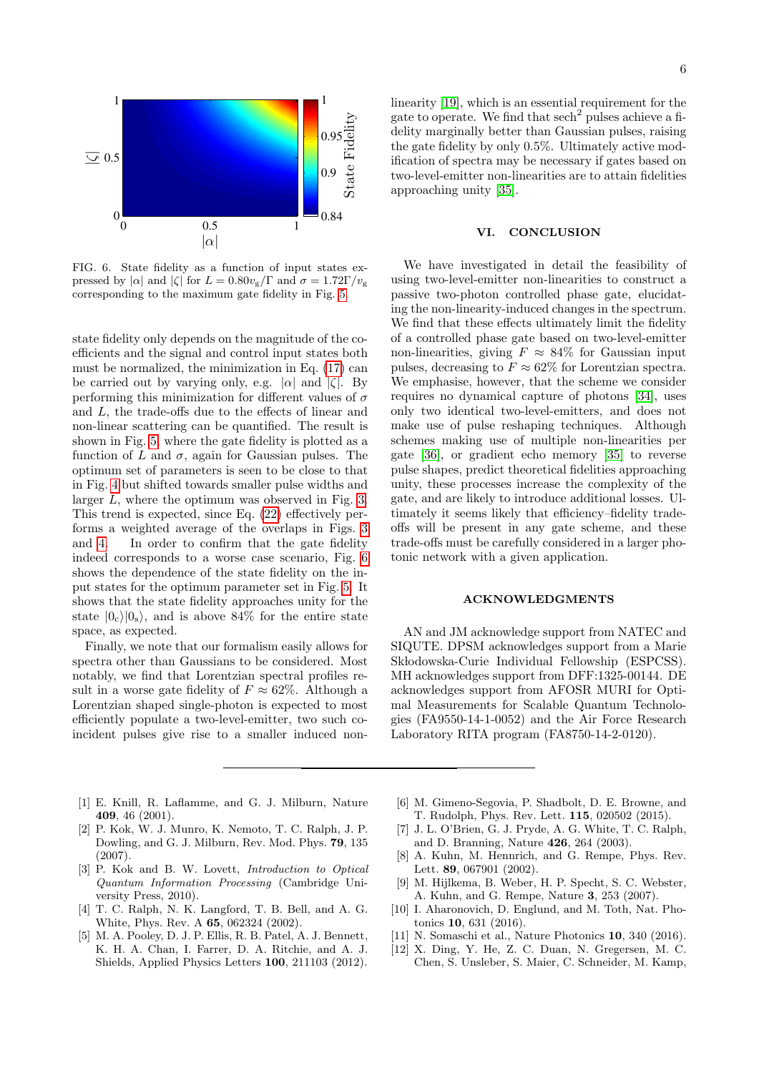

<span id="page-6-7"></span>FIG. 6. State fidelity as a function of input states expressed by  $|\alpha|$  and  $|\zeta|$  for  $L = 0.80v_{\rm g}/\Gamma$  and  $\sigma = 1.72\Gamma/v_{\rm g}$ corresponding to the maximum gate fidelity in Fig. [5.](#page-5-4)

state fidelity only depends on the magnitude of the coefficients and the signal and control input states both must be normalized, the minimization in Eq. [\(17\)](#page-5-5) can be carried out by varying only, e.g.  $|\alpha|$  and  $|\zeta|$ . By performing this minimization for different values of  $\sigma$ and L, the trade-offs due to the effects of linear and non-linear scattering can be quantified. The result is shown in Fig. [5,](#page-5-4) where the gate fidelity is plotted as a function of L and  $\sigma$ , again for Gaussian pulses. The optimum set of parameters is seen to be close to that in Fig. [4](#page-5-2) but shifted towards smaller pulse widths and larger L, where the optimum was observed in Fig. [3.](#page-4-4) This trend is expected, since Eq. [\(22\)](#page-5-6) effectively performs a weighted average of the overlaps in Figs. [3](#page-4-4) and [4.](#page-5-2) In order to confirm that the gate fidelity indeed corresponds to a worse case scenario, Fig. [6](#page-6-7) shows the dependence of the state fidelity on the input states for the optimum parameter set in Fig. [5.](#page-5-4) It shows that the state fidelity approaches unity for the state  $|0_c\rangle|0_s\rangle$ , and is above 84% for the entire state space, as expected.

Finally, we note that our formalism easily allows for spectra other than Gaussians to be considered. Most notably, we find that Lorentzian spectral profiles result in a worse gate fidelity of  $F \approx 62\%$ . Although a Lorentzian shaped single-photon is expected to most efficiently populate a two-level-emitter, two such coincident pulses give rise to a smaller induced nonlinearity [\[19\]](#page-7-17), which is an essential requirement for the gate to operate. We find that sech<sup>2</sup> pulses achieve a fidelity marginally better than Gaussian pulses, raising the gate fidelity by only 0.5%. Ultimately active modification of spectra may be necessary if gates based on two-level-emitter non-linearities are to attain fidelities approaching unity [\[35\]](#page-7-16).

## <span id="page-6-6"></span>VI. CONCLUSION

We have investigated in detail the feasibility of using two-level-emitter non-linearities to construct a passive two-photon controlled phase gate, elucidating the non-linearity-induced changes in the spectrum. We find that these effects ultimately limit the fidelity of a controlled phase gate based on two-level-emitter non-linearities, giving  $F \approx 84\%$  for Gaussian input pulses, decreasing to  $F \approx 62\%$  for Lorentzian spectra. We emphasise, however, that the scheme we consider requires no dynamical capture of photons [\[34\]](#page-7-21), uses only two identical two-level-emitters, and does not make use of pulse reshaping techniques. Although schemes making use of multiple non-linearities per gate [\[36\]](#page-7-15), or gradient echo memory [\[35\]](#page-7-16) to reverse pulse shapes, predict theoretical fidelities approaching unity, these processes increase the complexity of the gate, and are likely to introduce additional losses. Ultimately it seems likely that efficiency–fidelity tradeoffs will be present in any gate scheme, and these trade-offs must be carefully considered in a larger photonic network with a given application.

## ACKNOWLEDGMENTS

AN and JM acknowledge support from NATEC and SIQUTE. DPSM acknowledges support from a Marie Skłodowska-Curie Individual Fellowship (ESPCSS). MH acknowledges support from DFF:1325-00144. DE acknowledges support from AFOSR MURI for Optimal Measurements for Scalable Quantum Technologies (FA9550-14-1-0052) and the Air Force Research Laboratory RITA program (FA8750-14-2-0120).

- <span id="page-6-0"></span>[1] E. Knill, R. Laflamme, and G. J. Milburn, Nature 409, 46 (2001).
- [2] P. Kok, W. J. Munro, K. Nemoto, T. C. Ralph, J. P. Dowling, and G. J. Milburn, Rev. Mod. Phys. 79, 135 (2007).
- [3] P. Kok and B. W. Lovett, *Introduction to Optical* Quantum Information Processing (Cambridge University Press, 2010).
- <span id="page-6-4"></span>[4] T. C. Ralph, N. K. Langford, T. B. Bell, and A. G. White, Phys. Rev. A 65, 062324 (2002).
- <span id="page-6-5"></span>[5] M. A. Pooley, D. J. P. Ellis, R. B. Patel, A. J. Bennett, K. H. A. Chan, I. Farrer, D. A. Ritchie, and A. J. Shields, Applied Physics Letters 100, 211103 (2012).
- [6] M. Gimeno-Segovia, P. Shadbolt, D. E. Browne, and T. Rudolph, Phys. Rev. Lett. 115, 020502 (2015).
- <span id="page-6-1"></span>[7] J. L. O'Brien, G. J. Pryde, A. G. White, T. C. Ralph, and D. Branning, Nature 426, 264 (2003).
- [8] A. Kuhn, M. Hennrich, and G. Rempe, Phys. Rev. Lett. 89, 067901 (2002).
- [9] M. Hijlkema, B. Weber, H. P. Specht, S. C. Webster, A. Kuhn, and G. Rempe, Nature 3, 253 (2007).
- <span id="page-6-2"></span>[10] I. Aharonovich, D. Englund, and M. Toth, Nat. Photonics 10, 631 (2016).
- <span id="page-6-3"></span>[11] N. Somaschi et al., Nature Photonics 10, 340 (2016).
- [12] X. Ding, Y. He, Z. C. Duan, N. Gregersen, M. C. Chen, S. Unsleber, S. Maier, C. Schneider, M. Kamp,